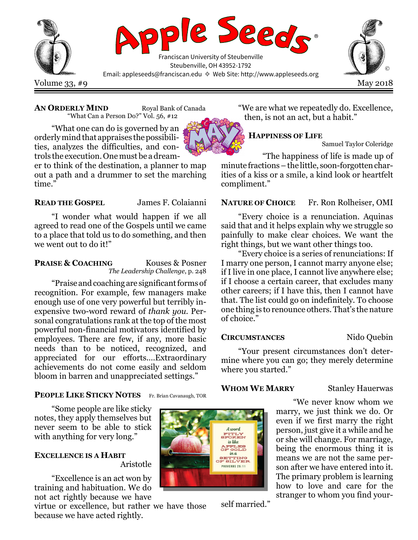

#### AN ORDERLY MIND Royal Bank of Canada

"What Can a Person Do?" Vol. 56, #12

"What one can do is governed by an orderly mind that appraises the possibilities, analyzes the difficulties, and controls the execution. One must be a dream-

er to think of the destination, a planner to map out a path and a drummer to set the marching time."

### READ THE GOSPEL James F. Colaianni

"I wonder what would happen if we all agreed to read one of the Gospels until we came to a place that told us to do something, and then we went out to do it!"

# **PRAISE & COACHING** Kouses & Posner

The Leadership Challenge, p. 248

"Praise and coaching are significant forms of recognition. For example, few managers make enough use of one very powerful but terribly inexpensive two-word reward of thank you. Personal congratulations rank at the top of the most powerful non-financial motivators identified by employees. There are few, if any, more basic needs than to be noticed, recognized, and appreciated for our efforts.…Extraordinary achievements do not come easily and seldom bloom in barren and unappreciated settings."

"We are what we repeatedly do. Excellence, then, is not an act, but a habit."

# HAPPINESS OF LIFE

Samuel Taylor Coleridge

"The happiness of life is made up of minute fractions – the little, soon-forgotten charities of a kiss or a smile, a kind look or heartfelt compliment."

# NATURE OF CHOICE Fr. Ron Rolheiser, OMI

"Every choice is a renunciation. Aquinas said that and it helps explain why we struggle so painfully to make clear choices. We want the right things, but we want other things too.

"Every choice is a series of renunciations: If I marry one person, I cannot marry anyone else; if I live in one place, I cannot live anywhere else; if I choose a certain career, that excludes many other careers; if I have this, then I cannot have that. The list could go on indefinitely. To choose one thing is to renounce others. That's the nature of choice."

#### CIRCUMSTANCES Nido Quebin

"Your present circumstances don't determine where you can go; they merely determine where you started."

#### WHOM WE MARRY Stanley Hauerwas

"We never know whom we marry, we just think we do. Or even if we first marry the right person, just give it a while and he or she will change. For marriage, being the enormous thing it is means we are not the same person after we have entered into it. The primary problem is learning how to love and care for the stranger to whom you find your-

# PEOPLE LIKE STICKY NOTES Fr. Brian Cavanaugh, TOR

"Some people are like sticky notes, they apply themselves but never seem to be able to stick with anything for very long."

# EXCELLENCE IS A HABIT Aristotle

"Excellence is an act won by training and habituation. We do not act rightly because we have

virtue or excellence, but rather we have those because we have acted rightly.



self married."